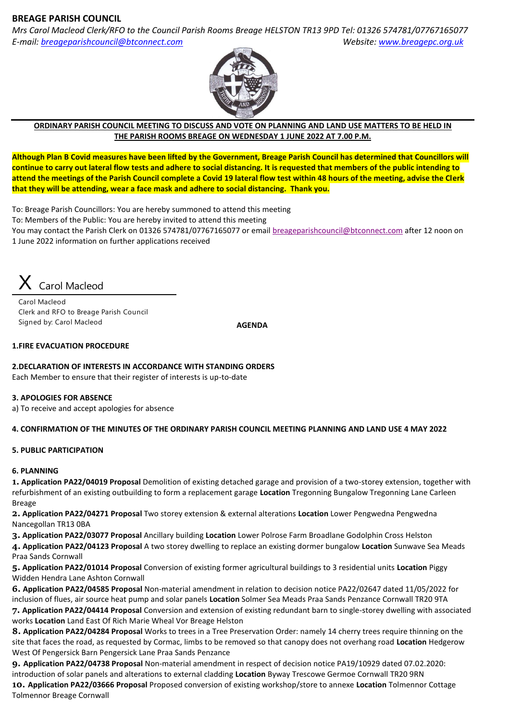# **BREAGE PARISH COUNCIL**

*Mrs Carol Macleod Clerk/RFO to the Council Parish Rooms Breage HELSTON TR13 9PD Tel: 01326 574781/07767165077 E-mail: [breageparishcouncil@btconnect.com](mailto:breageparishcouncil@btconnect.com) Website: [www.breagepc.org.uk](http://www.breagepc.org.uk/)*



#### **ORDINARY PARISH COUNCIL MEETING TO DISCUSS AND VOTE ON PLANNING AND LAND USE MATTERS TO BE HELD IN THE PARISH ROOMS BREAGE ON WEDNESDAY 1 JUNE 2022 AT 7.00 P.M.**

**Although Plan B Covid measures have been lifted by the Government, Breage Parish Council has determined that Councillors will continue to carry out lateral flow tests and adhere to social distancing. It is requested that members of the public intending to attend the meetings of the Parish Council complete a Covid 19 lateral flow test within 48 hours of the meeting, advise the Clerk that they will be attending, wear a face mask and adhere to social distancing. Thank you.**

To: Breage Parish Councillors: You are hereby summoned to attend this meeting To: Members of the Public: You are hereby invited to attend this meeting You may contact the Parish Clerk on 01326 574781/07767165077 or email [breageparishcouncil@btconnect.com](mailto:breageparishcouncil@btconnect.com) after 12 noon on 1 June 2022 information on further applications received



Carol Macleod Clerk and RFO to Breage Parish Council Signed by: Carol Macleod

 **AGENDA**

### **1.FIRE EVACUATION PROCEDURE**

### **2.DECLARATION OF INTERESTS IN ACCORDANCE WITH STANDING ORDERS**

Each Member to ensure that their register of interests is up-to-date

#### **3. APOLOGIES FOR ABSENCE**

a) To receive and accept apologies for absence

### **4. CONFIRMATION OF THE MINUTES OF THE ORDINARY PARISH COUNCIL MEETING PLANNING AND LAND USE 4 MAY 2022**

### **5. PUBLIC PARTICIPATION**

### **6. PLANNING**

**1. Application PA22/04019 Proposal** Demolition of existing detached garage and provision of a two-storey extension, together with refurbishment of an existing outbuilding to form a replacement garage **Location** Tregonning Bungalow Tregonning Lane Carleen Breage

**2. Application PA22/04271 Proposal** Two storey extension & external alterations **Location** Lower Pengwedna Pengwedna Nancegollan TR13 0BA

**3. Application PA22/03077 Proposal** Ancillary building **Location** Lower Polrose Farm Broadlane Godolphin Cross Helston

**4. Application PA22/04123 Proposal** A two storey dwelling to replace an existing dormer bungalow **Location** Sunwave Sea Meads Praa Sands Cornwall

**5. Application PA22/01014 Proposal** Conversion of existing former agricultural buildings to 3 residential units **Location** Piggy Widden Hendra Lane Ashton Cornwall

**6. Application PA22/04585 Proposal** Non-material amendment in relation to decision notice PA22/02647 dated 11/05/2022 for inclusion of flues, air source heat pump and solar panels **Location** Solmer Sea Meads Praa Sands Penzance Cornwall TR20 9TA **7. Application PA22/04414 Proposal** Conversion and extension of existing redundant barn to single-storey dwelling with associated works **Location** Land East Of Rich Marie Wheal Vor Breage Helston

**8. Application PA22/04284 Proposal** Works to trees in a Tree Preservation Order: namely 14 cherry trees require thinning on the site that faces the road, as requested by Cormac, limbs to be removed so that canopy does not overhang road **Location** Hedgerow West Of Pengersick Barn Pengersick Lane Praa Sands Penzance

**9. Application PA22/04738 Proposal** Non-material amendment in respect of decision notice PA19/10929 dated 07.02.2020: introduction of solar panels and alterations to external cladding **Location** Byway Trescowe Germoe Cornwall TR20 9RN

**10. Application PA22/03666 Proposal** Proposed conversion of existing workshop/store to annexe **Location** Tolmennor Cottage Tolmennor Breage Cornwall